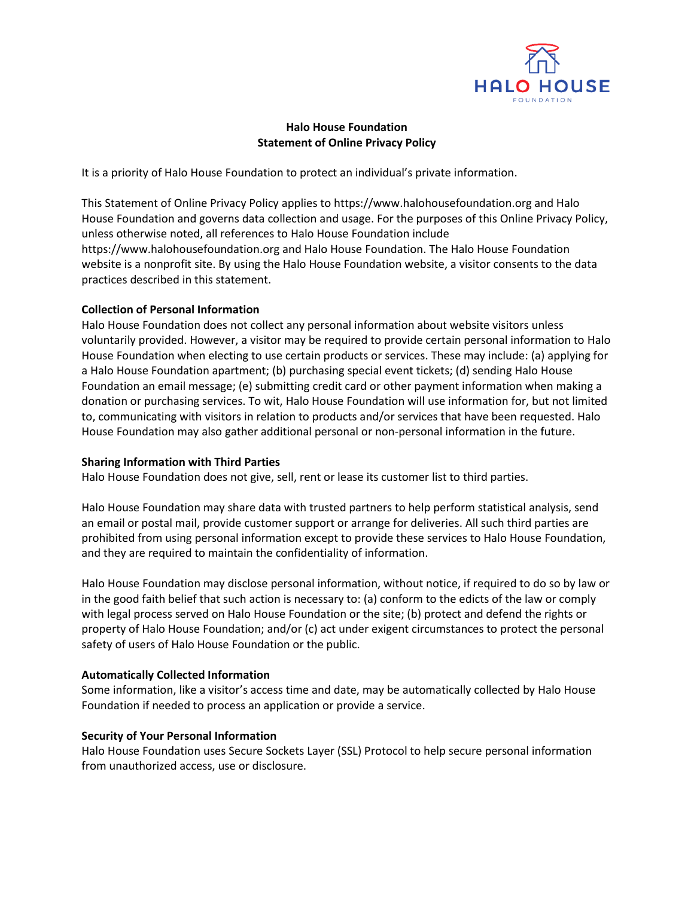

# **Halo House Foundation Statement of Online Privacy Policy**

It is a priority of Halo House Foundation to protect an individual's private information.

This Statement of Online Privacy Policy applies to https://www.halohousefoundation.org and Halo House Foundation and governs data collection and usage. For the purposes of this Online Privacy Policy, unless otherwise noted, all references to Halo House Foundation include https://www.halohousefoundation.org and Halo House Foundation. The Halo House Foundation website is a nonprofit site. By using the Halo House Foundation website, a visitor consents to the data practices described in this statement.

## **Collection of Personal Information**

Halo House Foundation does not collect any personal information about website visitors unless voluntarily provided. However, a visitor may be required to provide certain personal information to Halo House Foundation when electing to use certain products or services. These may include: (a) applying for a Halo House Foundation apartment; (b) purchasing special event tickets; (d) sending Halo House Foundation an email message; (e) submitting credit card or other payment information when making a donation or purchasing services. To wit, Halo House Foundation will use information for, but not limited to, communicating with visitors in relation to products and/or services that have been requested. Halo House Foundation may also gather additional personal or non-personal information in the future.

## **Sharing Information with Third Parties**

Halo House Foundation does not give, sell, rent or lease its customer list to third parties.

Halo House Foundation may share data with trusted partners to help perform statistical analysis, send an email or postal mail, provide customer support or arrange for deliveries. All such third parties are prohibited from using personal information except to provide these services to Halo House Foundation, and they are required to maintain the confidentiality of information.

Halo House Foundation may disclose personal information, without notice, if required to do so by law or in the good faith belief that such action is necessary to: (a) conform to the edicts of the law or comply with legal process served on Halo House Foundation or the site; (b) protect and defend the rights or property of Halo House Foundation; and/or (c) act under exigent circumstances to protect the personal safety of users of Halo House Foundation or the public.

## **Automatically Collected Information**

Some information, like a visitor's access time and date, may be automatically collected by Halo House Foundation if needed to process an application or provide a service.

## **Security of Your Personal Information**

Halo House Foundation uses Secure Sockets Layer (SSL) Protocol to help secure personal information from unauthorized access, use or disclosure.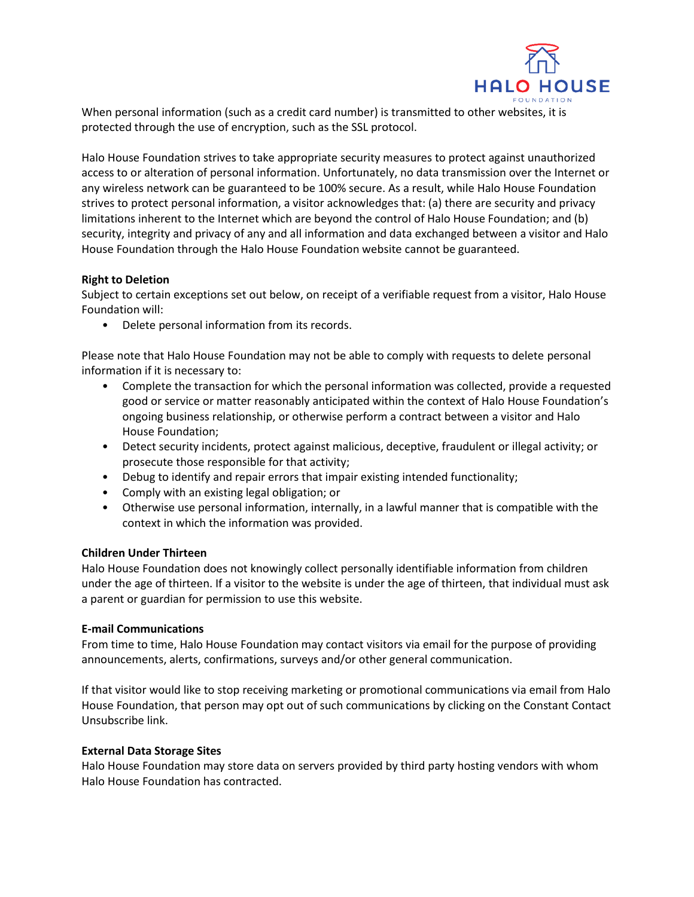

When personal information (such as a credit card number) is transmitted to other websites, it is protected through the use of encryption, such as the SSL protocol.

Halo House Foundation strives to take appropriate security measures to protect against unauthorized access to or alteration of personal information. Unfortunately, no data transmission over the Internet or any wireless network can be guaranteed to be 100% secure. As a result, while Halo House Foundation strives to protect personal information, a visitor acknowledges that: (a) there are security and privacy limitations inherent to the Internet which are beyond the control of Halo House Foundation; and (b) security, integrity and privacy of any and all information and data exchanged between a visitor and Halo House Foundation through the Halo House Foundation website cannot be guaranteed.

## **Right to Deletion**

Subject to certain exceptions set out below, on receipt of a verifiable request from a visitor, Halo House Foundation will:

• Delete personal information from its records.

Please note that Halo House Foundation may not be able to comply with requests to delete personal information if it is necessary to:

- Complete the transaction for which the personal information was collected, provide a requested good or service or matter reasonably anticipated within the context of Halo House Foundation's ongoing business relationship, or otherwise perform a contract between a visitor and Halo House Foundation;
- Detect security incidents, protect against malicious, deceptive, fraudulent or illegal activity; or prosecute those responsible for that activity;
- Debug to identify and repair errors that impair existing intended functionality;
- Comply with an existing legal obligation; or
- Otherwise use personal information, internally, in a lawful manner that is compatible with the context in which the information was provided.

## **Children Under Thirteen**

Halo House Foundation does not knowingly collect personally identifiable information from children under the age of thirteen. If a visitor to the website is under the age of thirteen, that individual must ask a parent or guardian for permission to use this website.

## **E-mail Communications**

From time to time, Halo House Foundation may contact visitors via email for the purpose of providing announcements, alerts, confirmations, surveys and/or other general communication.

If that visitor would like to stop receiving marketing or promotional communications via email from Halo House Foundation, that person may opt out of such communications by clicking on the Constant Contact Unsubscribe link.

## **External Data Storage Sites**

Halo House Foundation may store data on servers provided by third party hosting vendors with whom Halo House Foundation has contracted.